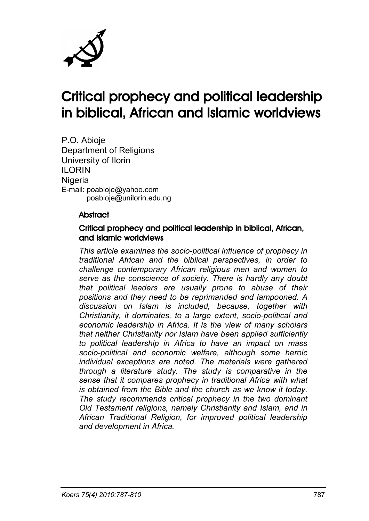

# Critical prophecy and political leadership in biblical, African and Islamic worldviews

P.O. Abioje Department of Religions University of Ilorin ILORIN **Nigeria** E-mail: poabioje@yahoo.com poabioje@unilorin.edu.ng

#### **Abstract**

#### Critical prophecy and political leadership in biblical, African, and Islamic worldviews

*This article examines the socio-political influence of prophecy in traditional African and the biblical perspectives, in order to challenge contemporary African religious men and women to serve as the conscience of society. There is hardly any doubt that political leaders are usually prone to abuse of their positions and they need to be reprimanded and lampooned. A discussion on Islam is included, because, together with Christianity, it dominates, to a large extent, socio-political and economic leadership in Africa. It is the view of many scholars that neither Christianity nor Islam have been applied sufficiently to political leadership in Africa to have an impact on mass socio-political and economic welfare, although some heroic individual exceptions are noted. The materials were gathered through a literature study. The study is comparative in the sense that it compares prophecy in traditional Africa with what is obtained from the Bible and the church as we know it today. The study recommends critical prophecy in the two dominant Old Testament religions, namely Christianity and Islam, and in African Traditional Religion, for improved political leadership and development in Africa.*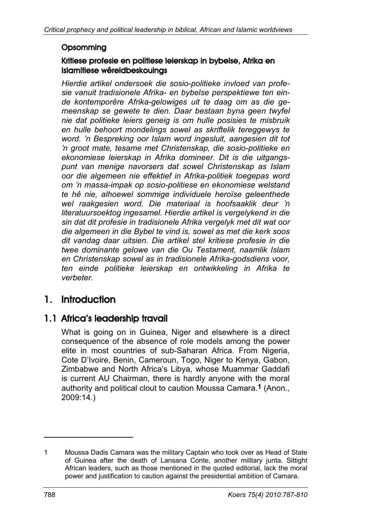#### **Opsomming**

#### Kritiese profesie en politiese leierskap in bybelse, Afrika en Islamitiese wêreldbeskouings

*Hierdie artikel ondersoek die sosio-politieke invloed van profesie vanuit tradisionele Afrika- en bybelse perspektiewe ten einde kontemporêre Afrika-gelowiges uit te daag om as die gemeenskap se gewete te dien. Daar bestaan byna geen twyfel nie dat politieke leiers geneig is om hulle posisies te misbruik en hulle behoort mondelings sowel as skriftelik tereggewys te word. 'n Bespreking oor Islam word ingesluit, aangesien dit tot 'n groot mate, tesame met Christenskap, die sosio-politieke en ekonomiese leierskap in Afrika domineer. Dit is die uitgangspunt van menige navorsers dat sowel Christenskap as Islam oor die algemeen nie effektief in Afrika-politiek toegepas word om 'n massa-impak op sosio-politiese en ekonomiese welstand te hê nie, alhoewel sommige individuele heroïse geleenthede wel raakgesien word. Die materiaal is hoofsaaklik deur 'n literatuursoektog ingesamel. Hierdie artikel is vergelykend in die sin dat dit profesie in tradisionele Afrika vergelyk met dit wat oor die algemeen in die Bybel te vind is, sowel as met die kerk soos dit vandag daar uitsien. Die artikel stel kritiese profesie in die twee dominante gelowe van die Ou Testament, naamlik Islam en Christenskap sowel as in tradisionele Afrika-godsdiens voor, ten einde politieke leierskap en ontwikkeling in Afrika te verbeter.*

# 1. Introduction

#### 1.1 Africa's leadership travail

What is going on in Guinea, Niger and elsewhere is a direct consequence of the absence of role models among the power elite in most countries of sub-Saharan Africa. From Nigeria, Cote D'Ivoire, Benin, Cameroun, Togo, Niger to Kenya, Gabon, Zimbabwe and North Africa's Libya, whose Muammar Gaddafi is current AU Chairman, there is hardly anyone with the moral authority and political clout to caution Moussa Camara.**1** (Anon., 2009:14.)

-

<sup>1</sup> Moussa Dadis Camara was the military Captain who took over as Head of State of Guinea after the death of Lansana Conte, another military junta. Sittight African leaders, such as those mentioned in the quoted editorial, lack the moral power and justification to caution against the presidential ambition of Camara.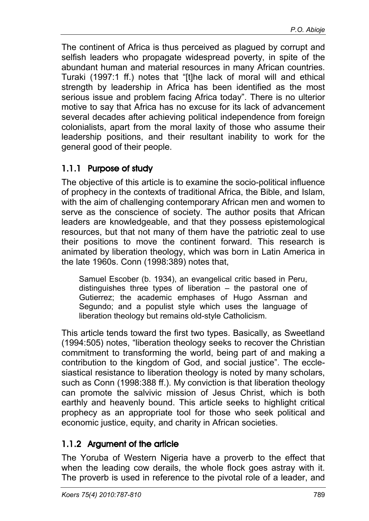The continent of Africa is thus perceived as plagued by corrupt and selfish leaders who propagate widespread poverty, in spite of the abundant human and material resources in many African countries. Turaki (1997:1 ff.) notes that "[t]he lack of moral will and ethical strength by leadership in Africa has been identified as the most serious issue and problem facing Africa today". There is no ulterior motive to say that Africa has no excuse for its lack of advancement several decades after achieving political independence from foreign colonialists, apart from the moral laxity of those who assume their leadership positions, and their resultant inability to work for the general good of their people.

#### 1.1.1 Purpose of study

The objective of this article is to examine the socio-political influence of prophecy in the contexts of traditional Africa, the Bible, and Islam, with the aim of challenging contemporary African men and women to serve as the conscience of society. The author posits that African leaders are knowledgeable, and that they possess epistemological resources, but that not many of them have the patriotic zeal to use their positions to move the continent forward. This research is animated by liberation theology, which was born in Latin America in the late 1960s. Conn (1998:389) notes that,

Samuel Escober (b. 1934), an evangelical critic based in Peru, distinguishes three types of liberation – the pastoral one of Gutierrez; the academic emphases of Hugo Assrnan and Segundo; and a populist style which uses the language of liberation theology but remains old-style Catholicism.

This article tends toward the first two types. Basically, as Sweetland (1994:505) notes, "liberation theology seeks to recover the Christian commitment to transforming the world, being part of and making a contribution to the kingdom of God, and social justice". The ecclesiastical resistance to liberation theology is noted by many scholars, such as Conn (1998:388 ff.). My conviction is that liberation theology can promote the salvivic mission of Jesus Christ, which is both earthly and heavenly bound. This article seeks to highlight critical prophecy as an appropriate tool for those who seek political and economic justice, equity, and charity in African societies.

#### 1.1.2 Argument of the article

The Yoruba of Western Nigeria have a proverb to the effect that when the leading cow derails, the whole flock goes astray with it. The proverb is used in reference to the pivotal role of a leader, and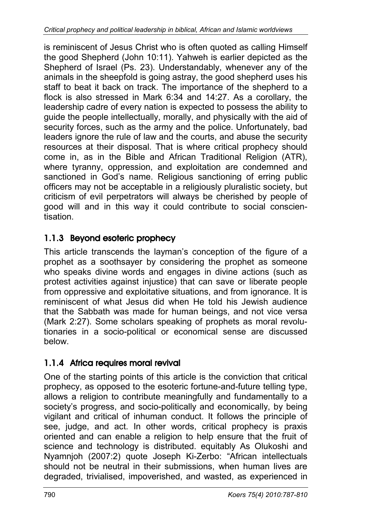is reminiscent of Jesus Christ who is often quoted as calling Himself the good Shepherd (John 10:11). Yahweh is earlier depicted as the Shepherd of Israel (Ps. 23). Understandably, whenever any of the animals in the sheepfold is going astray, the good shepherd uses his staff to beat it back on track. The importance of the shepherd to a flock is also stressed in Mark 6:34 and 14:27. As a corollary, the leadership cadre of every nation is expected to possess the ability to guide the people intellectually, morally, and physically with the aid of security forces, such as the army and the police. Unfortunately, bad leaders ignore the rule of law and the courts, and abuse the security resources at their disposal. That is where critical prophecy should come in, as in the Bible and African Traditional Religion (ATR), where tyranny, oppression, and exploitation are condemned and sanctioned in God's name. Religious sanctioning of erring public officers may not be acceptable in a religiously pluralistic society, but criticism of evil perpetrators will always be cherished by people of good will and in this way it could contribute to social conscientisation.

# 1.1.3 Beyond esoteric prophecy

This article transcends the layman's conception of the figure of a prophet as a soothsayer by considering the prophet as someone who speaks divine words and engages in divine actions (such as protest activities against injustice) that can save or liberate people from oppressive and exploitative situations, and from ignorance. It is reminiscent of what Jesus did when He told his Jewish audience that the Sabbath was made for human beings, and not vice versa (Mark 2:27). Some scholars speaking of prophets as moral revolutionaries in a socio-political or economical sense are discussed below.

# 1.1.4 Africa requires moral revival

One of the starting points of this article is the conviction that critical prophecy, as opposed to the esoteric fortune-and-future telling type, allows a religion to contribute meaningfully and fundamentally to a society's progress, and socio-politically and economically, by being vigilant and critical of inhuman conduct. It follows the principle of see, judge, and act. In other words, critical prophecy is praxis oriented and can enable a religion to help ensure that the fruit of science and technology is distributed. equitably As Olukoshi and Nyamnjoh (2007:2) quote Joseph Ki-Zerbo: "African intellectuals should not be neutral in their submissions, when human lives are degraded, trivialised, impoverished, and wasted, as experienced in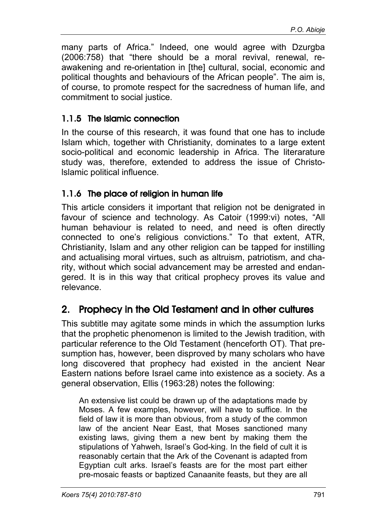many parts of Africa." Indeed, one would agree with Dzurgba (2006:758) that "there should be a moral revival, renewal, reawakening and re-orientation in [the] cultural, social, economic and political thoughts and behaviours of the African people". The aim is, of course, to promote respect for the sacredness of human life, and commitment to social justice.

#### 1.1.5 The Islamic connection

In the course of this research, it was found that one has to include Islam which, together with Christianity, dominates to a large extent socio-political and economic leadership in Africa. The literarature study was, therefore, extended to address the issue of Christolslamic political influence.

#### 1.1.6 The place of religion in human life

This article considers it important that religion not be denigrated in favour of science and technology. As Catoir (1999:vi) notes, "All human behaviour is related to need, and need is often directly connected to one's religious convictions." To that extent, ATR, Christianity, Islam and any other religion can be tapped for instilling and actualising moral virtues, such as altruism, patriotism, and charity, without which social advancement may be arrested and endangered. It is in this way that critical prophecy proves its value and relevance.

# 2. Prophecy in the Old Testament and in other cultures

This subtitle may agitate some minds in which the assumption lurks that the prophetic phenomenon is limited to the Jewish tradition, with particular reference to the Old Testament (henceforth OT). That presumption has, however, been disproved by many scholars who have long discovered that prophecy had existed in the ancient Near Eastern nations before Israel came into existence as a society. As a general observation, Ellis (1963:28) notes the following:

An extensive list could be drawn up of the adaptations made by Moses. A few examples, however, will have to suffice. In the field of law it is more than obvious, from a study of the common law of the ancient Near East, that Moses sanctioned many existing laws, giving them a new bent by making them the stipulations of Yahweh, Israel's God-king. In the field of cult it is reasonably certain that the Ark of the Covenant is adapted from Egyptian cult arks. Israel's feasts are for the most part either pre-mosaic feasts or baptized Canaanite feasts, but they are all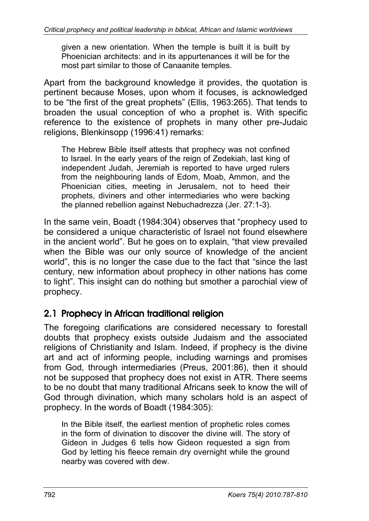given a new orientation. When the temple is built it is built by Phoenician architects: and in its appurtenances it will be for the most part similar to those of Canaanite temples.

Apart from the background knowledge it provides, the quotation is pertinent because Moses, upon whom it focuses, is acknowledged to be "the first of the great prophets" (Ellis, 1963:265). That tends to broaden the usual conception of who a prophet is. With specific reference to the existence of prophets in many other pre-Judaic religions, Blenkinsopp (1996:41) remarks:

The Hebrew Bible itself attests that prophecy was not confined to Israel. In the early years of the reign of Zedekiah, last king of independent Judah, Jeremiah is reported to have urged rulers from the neighbouring lands of Edom, Moab, Ammon, and the Phoenician cities, meeting in Jerusalem, not to heed their prophets, diviners and other intermediaries who were backing the planned rebellion against Nebuchadrezza (Jer. 27:1-3).

In the same vein, Boadt (1984:304) observes that "prophecy used to be considered a unique characteristic of Israel not found elsewhere in the ancient world". But he goes on to explain, "that view prevailed when the Bible was our only source of knowledge of the ancient world", this is no longer the case due to the fact that "since the last century, new information about prophecy in other nations has come to light". This insight can do nothing but smother a parochial view of prophecy.

# 2.1 Prophecy in African traditional religion

The foregoing clarifications are considered necessary to forestall doubts that prophecy exists outside Judaism and the associated religions of Christianity and Islam. Indeed, if prophecy is the divine art and act of informing people, including warnings and promises from God, through intermediaries (Preus, 2001:86), then it should not be supposed that prophecy does not exist in ATR. There seems to be no doubt that many traditional Africans seek to know the will of God through divination, which many scholars hold is an aspect of prophecy. In the words of Boadt (1984:305):

In the Bible itself, the earliest mention of prophetic roles comes in the form of divination to discover the divine will. The story of Gideon in Judges 6 tells how Gideon requested a sign from God by letting his fleece remain dry overnight while the ground nearby was covered with dew.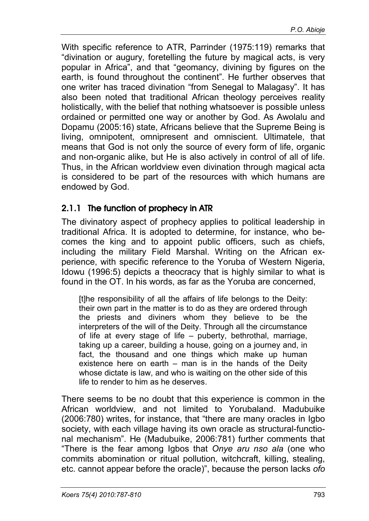With specific reference to ATR, Parrinder (1975:119) remarks that "divination or augury, foretelling the future by magical acts, is very popular in Africa", and that "geomancy, divining by figures on the earth, is found throughout the continent". He further observes that one writer has traced divination "from Senegal to Malagasy". It has also been noted that traditional African theology perceives reality holistically, with the belief that nothing whatsoever is possible unless ordained or permitted one way or another by God. As Awolalu and Dopamu (2005:16) state, Africans believe that the Supreme Being is living, omnipotent, omnipresent and omniscient. Ultimatele, that means that God is not only the source of every form of life, organic and non-organic alike, but He is also actively in control of all of life. Thus, in the African worldview even divination through magical acta is considered to be part of the resources with which humans are endowed by God.

#### 2.1.1 The function of prophecy in ATR

The divinatory aspect of prophecy applies to political leadership in traditional Africa. It is adopted to determine, for instance, who becomes the king and to appoint public officers, such as chiefs, including the military Field Marshal. Writing on the African experience, with specific reference to the Yoruba of Western Nigeria, Idowu (1996:5) depicts a theocracy that is highly similar to what is found in the OT. In his words, as far as the Yoruba are concerned,

[t]he responsibility of all the affairs of life belongs to the Deity: their own part in the matter is to do as they are ordered through the priests and diviners whom they believe to be the interpreters of the will of the Deity. Through all the circumstance of life at every stage of life – puberty, bethrothal, marriage, taking up a career, building a house, going on a journey and, in fact, the thousand and one things which make up human existence here on earth – man is in the hands of the Deity whose dictate is law, and who is waiting on the other side of this life to render to him as he deserves.

There seems to be no doubt that this experience is common in the African worldview, and not limited to Yorubaland. Madubuike (2006:780) writes, for instance, that "there are many oracles in Igbo society, with each village having its own oracle as structural-functional mechanism". He (Madubuike, 2006:781) further comments that "There is the fear among Igbos that *Onye aru nso ala* (one who commits abomination or ritual pollution, witchcraft, killing, stealing, etc. cannot appear before the oracle)", because the person lacks *ofo*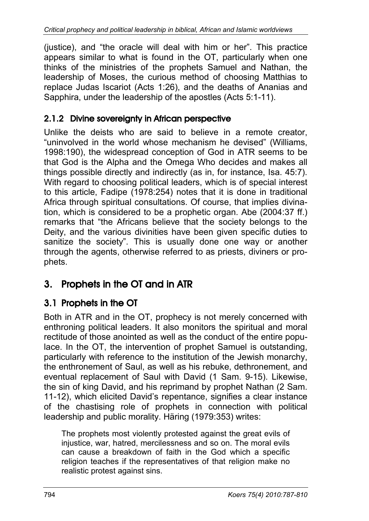(justice), and "the oracle will deal with him or her". This practice appears similar to what is found in the OT, particularly when one thinks of the ministries of the prophets Samuel and Nathan, the leadership of Moses, the curious method of choosing Matthias to replace Judas Iscariot (Acts 1:26), and the deaths of Ananias and Sapphira, under the leadership of the apostles (Acts 5:1-11).

#### 2.1.2 Divine sovereignty in African perspective

Unlike the deists who are said to believe in a remote creator, "uninvolved in the world whose mechanism he devised" (Williams, 1998:190), the widespread conception of God in ATR seems to be that God is the Alpha and the Omega Who decides and makes all things possible directly and indirectly (as in, for instance, Isa. 45:7). With regard to choosing political leaders, which is of special interest to this article, Fadipe (1978:254) notes that it is done in traditional Africa through spiritual consultations. Of course, that implies divination, which is considered to be a prophetic organ. Abe (2004:37 ff.) remarks that "the Africans believe that the society belongs to the Deity, and the various divinities have been given specific duties to sanitize the society". This is usually done one way or another through the agents, otherwise referred to as priests, diviners or prophets.

# 3. Prophets in the OT and in ATR

# 3.1 Prophets in the OT

Both in ATR and in the OT, prophecy is not merely concerned with enthroning political leaders. It also monitors the spiritual and moral rectitude of those anointed as well as the conduct of the entire populace. In the OT, the intervention of prophet Samuel is outstanding, particularly with reference to the institution of the Jewish monarchy, the enthronement of Saul, as well as his rebuke, dethronement, and eventual replacement of Saul with David (1 Sam. 9-15). Likewise, the sin of king David, and his reprimand by prophet Nathan (2 Sam. 11-12), which elicited David's repentance, signifies a clear instance of the chastising role of prophets in connection with political leadership and public morality. Häring (1979:353) writes:

The prophets most violently protested against the great evils of injustice, war, hatred, mercilessness and so on. The moral evils can cause a breakdown of faith in the God which a specific religion teaches if the representatives of that religion make no realistic protest against sins.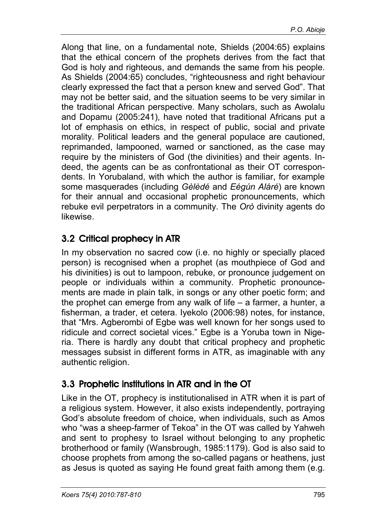Along that line, on a fundamental note, Shields (2004:65) explains that the ethical concern of the prophets derives from the fact that God is holy and righteous, and demands the same from his people. As Shields (2004:65) concludes, "righteousness and right behaviour clearly expressed the fact that a person knew and served God". That may not be better said, and the situation seems to be very similar in the traditional African perspective. Many scholars, such as Awolalu and Dopamu (2005:241), have noted that traditional Africans put a lot of emphasis on ethics, in respect of public, social and private morality. Political leaders and the general populace are cautioned, reprimanded, lampooned, warned or sanctioned, as the case may require by the ministers of God (the divinities) and their agents. Indeed, the agents can be as confrontational as their OT correspondents. In Yorubaland, with which the author is familiar, for example some masquerades (including *Gèlèdé* and *Eégún Aláré*) are known for their annual and occasional prophetic pronouncements, which rebuke evil perpetrators in a community. The *Orò* divinity agents do likewise.

# 3.2 Critical prophecy in ATR

In my observation no sacred cow (i.e. no highly or specially placed person) is recognised when a prophet (as mouthpiece of God and his divinities) is out to lampoon, rebuke, or pronounce judgement on people or individuals within a community. Prophetic pronouncements are made in plain talk, in songs or any other poetic form; and the prophet can emerge from any walk of life  $-$  a farmer, a hunter, a fisherman, a trader, et cetera. Iyekolo (2006:98) notes, for instance, that "Mrs. Agberombi of Egbe was well known for her songs used to ridicule and correct societal vices." Egbe is a Yoruba town in Nigeria. There is hardly any doubt that critical prophecy and prophetic messages subsist in different forms in ATR, as imaginable with any authentic religion.

# 3.3 Prophetic institutions in ATR and in the OT

Like in the OT, prophecy is institutionalised in ATR when it is part of a religious system. However, it also exists independently, portraying God's absolute freedom of choice, when individuals, such as Amos who "was a sheep-farmer of Tekoa" in the OT was called by Yahweh and sent to prophesy to Israel without belonging to any prophetic brotherhood or family (Wansbrough, 1985:1179). God is also said to choose prophets from among the so-called pagans or heathens, just as Jesus is quoted as saying He found great faith among them (e.g.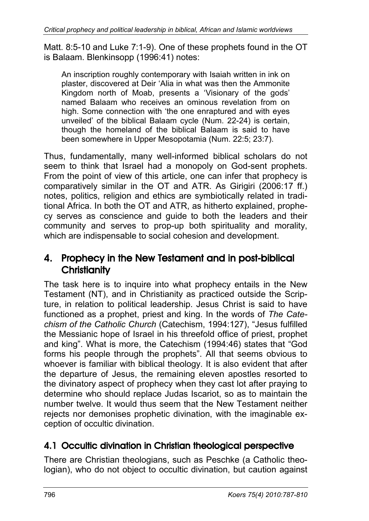Matt. 8:5-10 and Luke 7:1-9). One of these prophets found in the OT is Balaam. Blenkinsopp (1996:41) notes:

An inscription roughly contemporary with Isaiah written in ink on plaster, discovered at Deir 'Alia in what was then the Ammonite Kingdom north of Moab, presents a 'Visionary of the gods' named Balaam who receives an ominous revelation from on high. Some connection with 'the one enraptured and with eyes unveiled' of the biblical Balaam cycle (Num. 22-24) is certain, though the homeland of the biblical Balaam is said to have been somewhere in Upper Mesopotamia (Num. 22:5; 23:7).

Thus, fundamentally, many well-informed biblical scholars do not seem to think that Israel had a monopoly on God-sent prophets. From the point of view of this article, one can infer that prophecy is comparatively similar in the OT and ATR. As Girigiri (2006:17 ff.) notes, politics, religion and ethics are symbiotically related in traditional Africa. In both the OT and ATR, as hitherto explained, prophecy serves as conscience and guide to both the leaders and their community and serves to prop-up both spirituality and morality, which are indispensable to social cohesion and development.

# 4. Prophecy in the New Testament and in post-biblical **Christianity**

The task here is to inquire into what prophecy entails in the New Testament (NT), and in Christianity as practiced outside the Scripture, in relation to political leadership. Jesus Christ is said to have functioned as a prophet, priest and king. In the words of *The Catechism of the Catholic Church* (Catechism, 1994:127), "Jesus fulfilled the Messianic hope of Israel in his threefold office of priest, prophet and king". What is more, the Catechism (1994:46) states that "God forms his people through the prophets". All that seems obvious to whoever is familiar with biblical theology. It is also evident that after the departure of Jesus, the remaining eleven apostles resorted to the divinatory aspect of prophecy when they cast lot after praying to determine who should replace Judas Iscariot, so as to maintain the number twelve. It would thus seem that the New Testament neither rejects nor demonises prophetic divination, with the imaginable exception of occultic divination.

# 4.1 Occultic divination in Christian theological perspective

There are Christian theologians, such as Peschke (a Catholic theologian), who do not object to occultic divination, but caution against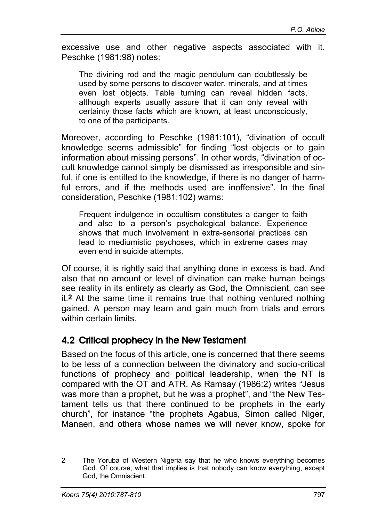excessive use and other negative aspects associated with it. Peschke (1981:98) notes:

The divining rod and the magic pendulum can doubtlessly be used by some persons to discover water, minerals, and at times even lost objects. Table turning can reveal hidden facts, although experts usually assure that it can only reveal with certainty those facts which are known, at least unconsciously, to one of the participants.

Moreover, according to Peschke (1981:101), "divination of occult knowledge seems admissible" for finding "lost objects or to gain information about missing persons". In other words, "divination of occult knowledge cannot simply be dismissed as irresponsible and sinful, if one is entitled to the knowledge, if there is no danger of harmful errors, and if the methods used are inoffensive". In the final consideration, Peschke (1981:102) warns:

Frequent indulgence in occultism constitutes a danger to faith and also to a person's psychological balance. Experience shows that much involvement in extra-sensorial practices can lead to mediumistic psychoses, which in extreme cases may even end in suicide attempts.

Of course, it is rightly said that anything done in excess is bad. And also that no amount or level of divination can make human beings see reality in its entirety as clearly as God, the Omniscient, can see it.**2** At the same time it remains true that nothing ventured nothing gained. A person may learn and gain much from trials and errors within certain limits.

#### 4.2 Critical prophecy in the New Testament

Based on the focus of this article, one is concerned that there seems to be less of a connection between the divinatory and socio-critical functions of prophecy and political leadership, when the NT is compared with the OT and ATR. As Ramsay (1986:2) writes "Jesus was more than a prophet, but he was a prophet", and "the New Testament tells us that there continued to be prophets in the early church", for instance "the prophets Agabus, Simon called Niger, Manaen, and others whose names we will never know, spoke for

 $\overline{a}$ 

<sup>2</sup> The Yoruba of Western Nigeria say that he who knows everything becomes God. Of course, what that implies is that nobody can know everything, except God, the Omniscient.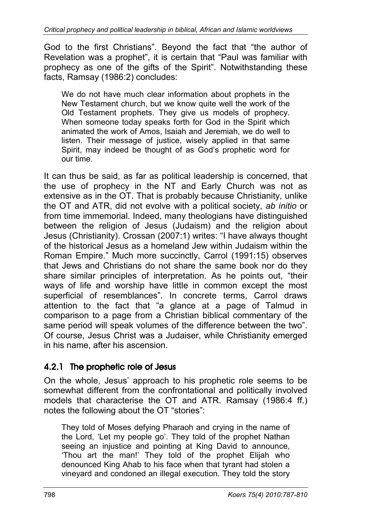God to the first Christians". Beyond the fact that "the author of Revelation was a prophet", it is certain that "Paul was familiar with prophecy as one of the gifts of the Spirit". Notwithstanding these facts, Ramsay (1986:2) concludes:

We do not have much clear information about prophets in the New Testament church, but we know quite well the work of the Old Testament prophets. They give us models of prophecy. When someone today speaks forth for God in the Spirit which animated the work of Amos, Isaiah and Jeremiah, we do well to listen. Their message of justice, wisely applied in that same Spirit, may indeed be thought of as God's prophetic word for our time.

It can thus be said, as far as political leadership is concerned, that the use of prophecy in the NT and Early Church was not as extensive as in the OT. That is probably because Christianity, unlike the OT and ATR, did not evolve with a political society, *ab initio* or from time immemorial. Indeed, many theologians have distinguished between the religion of Jesus (Judaism) and the religion about Jesus (Christianity). Crossan (2007:1) writes: "I have always thought of the historical Jesus as a homeland Jew within Judaism within the Roman Empire." Much more succinctly, Carrol (1991:15) observes that Jews and Christians do not share the same book nor do they share similar principles of interpretation. As he points out, "their ways of life and worship have little in common except the most superficial of resemblances". In concrete terms, Carrol draws attention to the fact that "a glance at a page of Talmud in comparison to a page from a Christian biblical commentary of the same period will speak volumes of the difference between the two". Of course, Jesus Christ was a Judaiser, while Christianity emerged in his name, after his ascension.

# 4.2.1 The prophetic role of Jesus

On the whole, Jesus' approach to his prophetic role seems to be somewhat different from the confrontational and politically involved models that characterise the OT and ATR. Ramsay (1986:4 ff.) notes the following about the OT "stories":

They told of Moses defying Pharaoh and crying in the name of the Lord, 'Let my people go'. They told of the prophet Nathan seeing an injustice and pointing at King David to announce, 'Thou art the man!' They told of the prophet Elijah who denounced King Ahab to his face when that tyrant had stolen a vineyard and condoned an illegal execution. They told the story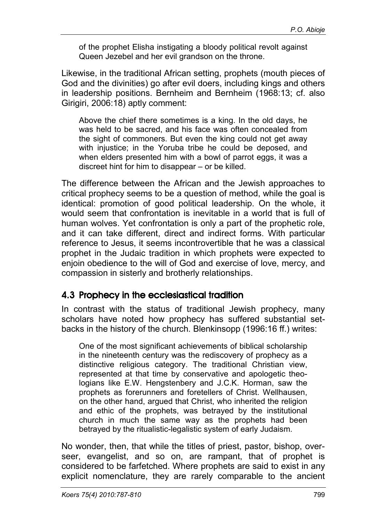of the prophet Elisha instigating a bloody political revolt against Queen Jezebel and her evil grandson on the throne.

Likewise, in the traditional African setting, prophets (mouth pieces of God and the divinities) go after evil doers, including kings and others in leadership positions. Bernheim and Bernheim (1968:13; cf. also Girigiri, 2006:18) aptly comment:

Above the chief there sometimes is a king. In the old days, he was held to be sacred, and his face was often concealed from the sight of commoners. But even the king could not get away with injustice; in the Yoruba tribe he could be deposed, and when elders presented him with a bowl of parrot eggs, it was a discreet hint for him to disappear – or be killed.

The difference between the African and the Jewish approaches to critical prophecy seems to be a question of method, while the goal is identical: promotion of good political leadership. On the whole, it would seem that confrontation is inevitable in a world that is full of human wolves. Yet confrontation is only a part of the prophetic role, and it can take different, direct and indirect forms. With particular reference to Jesus, it seems incontrovertible that he was a classical prophet in the Judaic tradition in which prophets were expected to enjoin obedience to the will of God and exercise of love, mercy, and compassion in sisterly and brotherly relationships.

# 4.3 Prophecy in the ecclesiastical tradition

In contrast with the status of traditional Jewish prophecy, many scholars have noted how prophecy has suffered substantial setbacks in the history of the church. Blenkinsopp (1996:16 ff.) writes:

One of the most significant achievements of biblical scholarship in the nineteenth century was the rediscovery of prophecy as a distinctive religious category. The traditional Christian view, represented at that time by conservative and apologetic theologians like E.W. Hengstenbery and J.C.K. Horman, saw the prophets as forerunners and foretellers of Christ. Wellhausen, on the other hand, argued that Christ, who inherited the religion and ethic of the prophets, was betrayed by the institutional church in much the same way as the prophets had been betrayed by the ritualistic-legalistic system of early Judaism.

No wonder, then, that while the titles of priest, pastor, bishop, overseer, evangelist, and so on, are rampant, that of prophet is considered to be farfetched. Where prophets are said to exist in any explicit nomenclature, they are rarely comparable to the ancient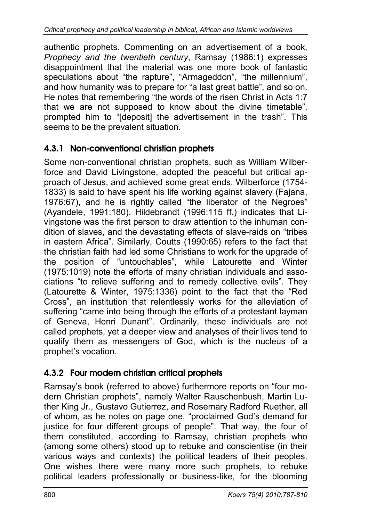authentic prophets. Commenting on an advertisement of a book, *Prophecy and the twentieth century*, Ramsay (1986:1) expresses disappointment that the material was one more book of fantastic speculations about "the rapture", "Armageddon", "the millennium", and how humanity was to prepare for "a last great battle", and so on. He notes that remembering "the words of the risen Christ in Acts 1:7 that we are not supposed to know about the divine timetable", prompted him to "[deposit] the advertisement in the trash". This seems to be the prevalent situation.

#### 4.3.1 Non-conventional christian prophets

Some non-conventional christian prophets, such as William Wilberforce and David Livingstone, adopted the peaceful but critical approach of Jesus, and achieved some great ends. Wilberforce (1754- 1833) is said to have spent his life working against slavery (Fajana, 1976:67), and he is rightly called "the liberator of the Negroes" (Ayandele, 1991:180). Hildebrandt (1996:115 ff.) indicates that Livingstone was the first person to draw attention to the inhuman condition of slaves, and the devastating effects of slave-raids on "tribes in eastern Africa". Similarly, Coutts (1990:65) refers to the fact that the christian faith had led some Christians to work for the upgrade of the position of "untouchables", while Latourette and Winter (1975:1019) note the efforts of many christian individuals and associations "to relieve suffering and to remedy collective evils". They (Latourette & Winter, 1975:1336) point to the fact that the "Red Cross", an institution that relentlessly works for the alleviation of suffering "came into being through the efforts of a protestant layman of Geneva, Henri Dunant". Ordinarily, these individuals are not called prophets, yet a deeper view and analyses of their lives tend to qualify them as messengers of God, which is the nucleus of a prophet's vocation.

# 4.3.2 Four modern christian critical prophets

Ramsay's book (referred to above) furthermore reports on "four modern Christian prophets", namely Walter Rauschenbush, Martin Luther King Jr., Gustavo Gutierrez, and Rosemary Radford Ruether, all of whom, as he notes on page one, "proclaimed God's demand for justice for four different groups of people". That way, the four of them constituted, according to Ramsay, christian prophets who (among some others) stood up to rebuke and conscientise (in their various ways and contexts) the political leaders of their peoples. One wishes there were many more such prophets, to rebuke political leaders professionally or business-like, for the blooming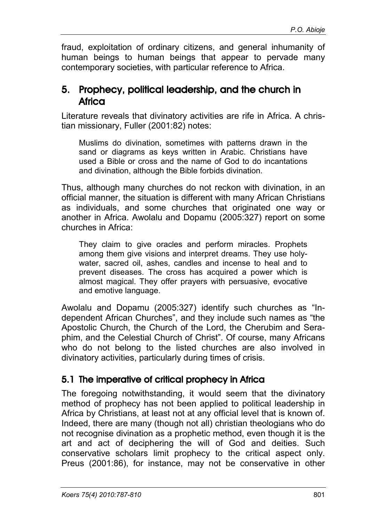fraud, exploitation of ordinary citizens, and general inhumanity of human beings to human beings that appear to pervade many contemporary societies, with particular reference to Africa.

#### 5. Prophecy, political leadership, and the church in **Africa**

Literature reveals that divinatory activities are rife in Africa. A christian missionary, Fuller (2001:82) notes:

Muslims do divination, sometimes with patterns drawn in the sand or diagrams as keys written in Arabic. Christians have used a Bible or cross and the name of God to do incantations and divination, although the Bible forbids divination.

Thus, although many churches do not reckon with divination, in an official manner, the situation is different with many African Christians as individuals, and some churches that originated one way or another in Africa. Awolalu and Dopamu (2005:327) report on some churches in Africa:

They claim to give oracles and perform miracles. Prophets among them give visions and interpret dreams. They use holywater, sacred oil, ashes, candles and incense to heal and to prevent diseases. The cross has acquired a power which is almost magical. They offer prayers with persuasive, evocative and emotive language.

Awolalu and Dopamu (2005:327) identify such churches as "Independent African Churches", and they include such names as "the Apostolic Church, the Church of the Lord, the Cherubim and Seraphim, and the Celestial Church of Christ". Of course, many Africans who do not belong to the listed churches are also involved in divinatory activities, particularly during times of crisis.

# 5.1 The imperative of critical prophecy in Africa

The foregoing notwithstanding, it would seem that the divinatory method of prophecy has not been applied to political leadership in Africa by Christians, at least not at any official level that is known of. Indeed, there are many (though not all) christian theologians who do not recognise divination as a prophetic method, even though it is the art and act of deciphering the will of God and deities. Such conservative scholars limit prophecy to the critical aspect only. Preus (2001:86), for instance, may not be conservative in other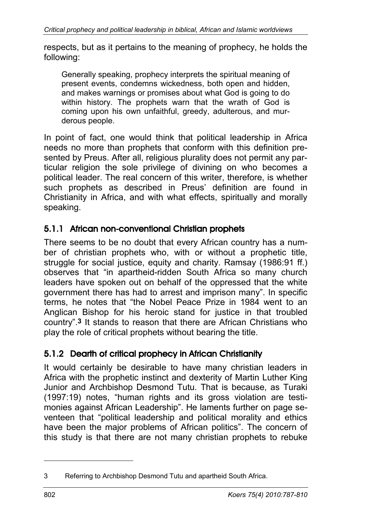respects, but as it pertains to the meaning of prophecy, he holds the following:

Generally speaking, prophecy interprets the spiritual meaning of present events, condemns wickedness, both open and hidden, and makes warnings or promises about what God is going to do within history. The prophets warn that the wrath of God is coming upon his own unfaithful, greedy, adulterous, and murderous people.

In point of fact, one would think that political leadership in Africa needs no more than prophets that conform with this definition presented by Preus. After all, religious plurality does not permit any particular religion the sole privilege of divining on who becomes a political leader. The real concern of this writer, therefore, is whether such prophets as described in Preus' definition are found in Christianity in Africa, and with what effects, spiritually and morally speaking.

# 5.1.1 African non-conventional Christian prophets

There seems to be no doubt that every African country has a number of christian prophets who, with or without a prophetic title, struggle for social justice, equity and charity. Ramsay (1986:91 ff.) observes that "in apartheid-ridden South Africa so many church leaders have spoken out on behalf of the oppressed that the white government there has had to arrest and imprison many". In specific terms, he notes that "the Nobel Peace Prize in 1984 went to an Anglican Bishop for his heroic stand for justice in that troubled country".**3** It stands to reason that there are African Christians who play the role of critical prophets without bearing the title.

# 5.1.2 Dearth of critical prophecy in African Christianity

It would certainly be desirable to have many christian leaders in Africa with the prophetic instinct and dexterity of Martin Luther King Junior and Archbishop Desmond Tutu. That is because, as Turaki (1997:19) notes, "human rights and its gross violation are testimonies against African Leadership". He laments further on page seventeen that "political leadership and political morality and ethics have been the major problems of African politics". The concern of this study is that there are not many christian prophets to rebuke

-

<sup>3</sup> Referring to Archbishop Desmond Tutu and apartheid South Africa.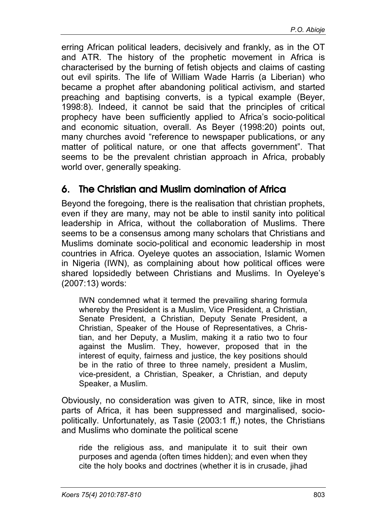erring African political leaders, decisively and frankly, as in the OT and ATR. The history of the prophetic movement in Africa is characterised by the burning of fetish objects and claims of casting out evil spirits. The life of William Wade Harris (a Liberian) who became a prophet after abandoning political activism, and started preaching and baptising converts, is a typical example (Beyer, 1998:8). Indeed, it cannot be said that the principles of critical prophecy have been sufficiently applied to Africa's socio-political and economic situation, overall. As Beyer (1998:20) points out, many churches avoid "reference to newspaper publications, or any matter of political nature, or one that affects government". That seems to be the prevalent christian approach in Africa, probably world over, generally speaking.

# 6. The Christian and Muslim domination of Africa

Beyond the foregoing, there is the realisation that christian prophets, even if they are many, may not be able to instil sanity into political leadership in Africa, without the collaboration of Muslims. There seems to be a consensus among many scholars that Christians and Muslims dominate socio-political and economic leadership in most countries in Africa. Oyeleye quotes an association, Islamic Women in Nigeria (IWN), as complaining about how political offices were shared lopsidedly between Christians and Muslims. In Oyeleye's (2007:13) words:

IWN condemned what it termed the prevailing sharing formula whereby the President is a Muslim, Vice President, a Christian, Senate President, a Christian, Deputy Senate President, a Christian, Speaker of the House of Representatives, a Christian, and her Deputy, a Muslim, making it a ratio two to four against the Muslim. They, however, proposed that in the interest of equity, fairness and justice, the key positions should be in the ratio of three to three namely, president a Muslim, vice-president, a Christian, Speaker, a Christian, and deputy Speaker, a Muslim.

Obviously, no consideration was given to ATR, since, like in most parts of Africa, it has been suppressed and marginalised, sociopolitically. Unfortunately, as Tasie (2003:1 ff,) notes, the Christians and Muslims who dominate the political scene

ride the religious ass, and manipulate it to suit their own purposes and agenda (often times hidden); and even when they cite the holy books and doctrines (whether it is in crusade, jihad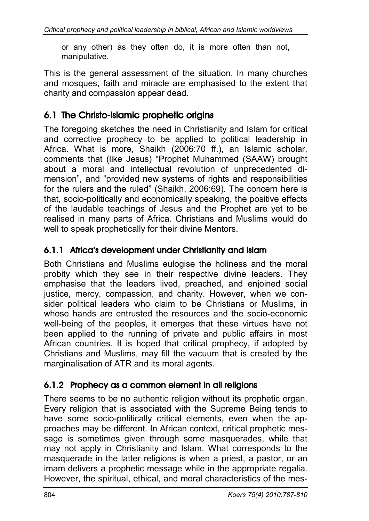or any other) as they often do, it is more often than not, manipulative.

This is the general assessment of the situation. In many churches and mosques, faith and miracle are emphasised to the extent that charity and compassion appear dead.

# 6.1 The Christo-lslamic prophetic origins

The foregoing sketches the need in Christianity and Islam for critical and corrective prophecy to be applied to political leadership in Africa. What is more, Shaikh (2006:70 ff.), an Islamic scholar, comments that (like Jesus) "Prophet Muhammed (SAAW) brought about a moral and intellectual revolution of unprecedented dimension", and "provided new systems of rights and responsibilities for the rulers and the ruled" (Shaikh, 2006:69). The concern here is that, socio-politically and economically speaking, the positive effects of the laudable teachings of Jesus and the Prophet are yet to be realised in many parts of Africa. Christians and Muslims would do well to speak prophetically for their divine Mentors.

# 6.1.1 Africa's development under Christianity and Islam

Both Christians and Muslims eulogise the holiness and the moral probity which they see in their respective divine leaders. They emphasise that the leaders lived, preached, and enjoined social justice, mercy, compassion, and charity. However, when we consider political leaders who claim to be Christians or Muslims, in whose hands are entrusted the resources and the socio-economic well-being of the peoples, it emerges that these virtues have not been applied to the running of private and public affairs in most African countries. It is hoped that critical prophecy, if adopted by Christians and Muslims, may fill the vacuum that is created by the marginalisation of ATR and its moral agents.

# 6.1.2 Prophecy as a common element in all religions

There seems to be no authentic religion without its prophetic organ. Every religion that is associated with the Supreme Being tends to have some socio-politically critical elements, even when the approaches may be different. In African context, critical prophetic message is sometimes given through some masquerades, while that may not apply in Christianity and Islam. What corresponds to the masquerade in the latter religions is when a priest, a pastor, or an imam delivers a prophetic message while in the appropriate regalia. However, the spiritual, ethical, and moral characteristics of the mes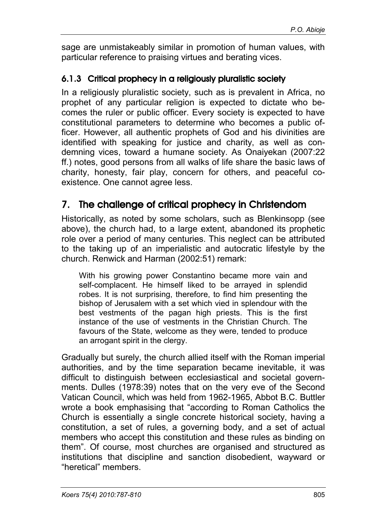sage are unmistakeably similar in promotion of human values, with particular reference to praising virtues and berating vices.

#### 6.1.3 Critical prophecy in a religiously pluralistic society

In a religiously pluralistic society, such as is prevalent in Africa, no prophet of any particular religion is expected to dictate who becomes the ruler or public officer. Every society is expected to have constitutional parameters to determine who becomes a public officer. However, all authentic prophets of God and his divinities are identified with speaking for justice and charity, as well as condemning vices, toward a humane society. As Onaiyekan (2007:22 ff.) notes, good persons from all walks of life share the basic laws of charity, honesty, fair play, concern for others, and peaceful coexistence. One cannot agree less.

# 7. The challenge of critical prophecy in Christendom

Historically, as noted by some scholars, such as Blenkinsopp (see above), the church had, to a large extent, abandoned its prophetic role over a period of many centuries. This neglect can be attributed to the taking up of an imperialistic and autocratic lifestyle by the church. Renwick and Harman (2002:51) remark:

With his growing power Constantino became more vain and self-complacent. He himself liked to be arrayed in splendid robes. It is not surprising, therefore, to find him presenting the bishop of Jerusalem with a set which vied in splendour with the best vestments of the pagan high priests. This is the first instance of the use of vestments in the Christian Church. The favours of the State, welcome as they were, tended to produce an arrogant spirit in the clergy.

Gradually but surely, the church allied itself with the Roman imperial authorities, and by the time separation became inevitable, it was difficult to distinguish between ecclesiastical and societal governments. Dulles (1978:39) notes that on the very eve of the Second Vatican Council, which was held from 1962-1965, Abbot B.C. Buttler wrote a book emphasising that "according to Roman Catholics the Church is essentially a single concrete historical society, having a constitution, a set of rules, a governing body, and a set of actual members who accept this constitution and these rules as binding on them". Of course, most churches are organised and structured as institutions that discipline and sanction disobedient, wayward or "heretical" members.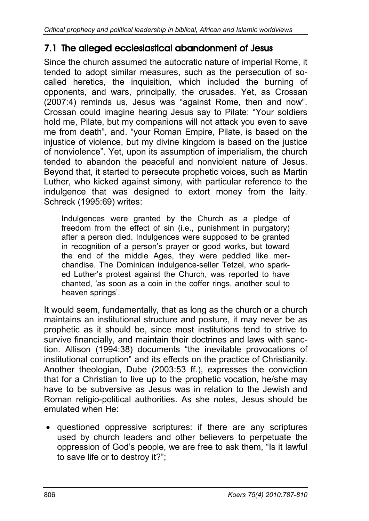# 7.1 The alleged ecclesiastical abandonment of Jesus

Since the church assumed the autocratic nature of imperial Rome, it tended to adopt similar measures, such as the persecution of socalled heretics, the inquisition, which included the burning of opponents, and wars, principally, the crusades. Yet, as Crossan (2007:4) reminds us, Jesus was "against Rome, then and now". Crossan could imagine hearing Jesus say to Pilate: "Your soldiers hold me, Pilate, but my companions will not attack you even to save me from death", and. "your Roman Empire, Pilate, is based on the injustice of violence, but my divine kingdom is based on the justice of nonviolence". Yet, upon its assumption of imperialism, the church tended to abandon the peaceful and nonviolent nature of Jesus. Beyond that, it started to persecute prophetic voices, such as Martin Luther, who kicked against simony, with particular reference to the indulgence that was designed to extort money from the laity. Schreck (1995:69) writes:

Indulgences were granted by the Church as a pledge of freedom from the effect of sin (i.e., punishment in purgatory) after a person died. Indulgences were supposed to be granted in recognition of a person's prayer or good works, but toward the end of the middle Ages, they were peddled like merchandise. The Dominican indulgence-seller Tetzel, who sparked Luther's protest against the Church, was reported to have chanted, 'as soon as a coin in the coffer rings, another soul to heaven springs'.

It would seem, fundamentally, that as long as the church or a church maintains an institutional structure and posture, it may never be as prophetic as it should be, since most institutions tend to strive to survive financially, and maintain their doctrines and laws with sanction. Allison (1994:38) documents "the inevitable provocations of institutional corruption" and its effects on the practice of Christianity. Another theologian, Dube (2003:53 ff.), expresses the conviction that for a Christian to live up to the prophetic vocation, he/she may have to be subversive as Jesus was in relation to the Jewish and Roman religio-political authorities. As she notes, Jesus should be emulated when He:

questioned oppressive scriptures: if there are any scriptures used by church leaders and other believers to perpetuate the oppression of God's people, we are free to ask them, "Is it lawful to save life or to destroy it?";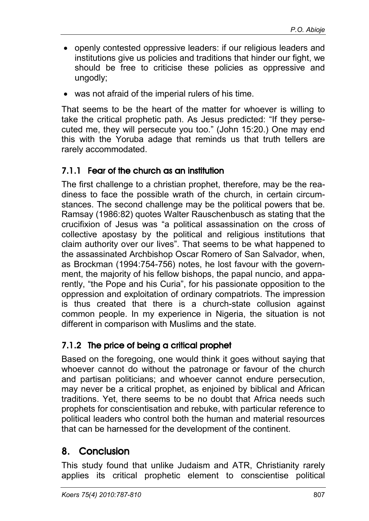- openly contested oppressive leaders: if our religious leaders and institutions give us policies and traditions that hinder our fight, we should be free to criticise these policies as oppressive and ungodly;
- was not afraid of the imperial rulers of his time.

That seems to be the heart of the matter for whoever is willing to take the critical prophetic path. As Jesus predicted: "If they persecuted me, they will persecute you too." (John 15:20.) One may end this with the Yoruba adage that reminds us that truth tellers are rarely accommodated.

#### 7.1.1 Fear of the church as an institution

The first challenge to a christian prophet, therefore, may be the readiness to face the possible wrath of the church, in certain circumstances. The second challenge may be the political powers that be. Ramsay (1986:82) quotes Walter Rauschenbusch as stating that the crucifixion of Jesus was "a political assassination on the cross of collective apostasy by the political and religious institutions that claim authority over our lives". That seems to be what happened to the assassinated Archbishop Oscar Romero of San Salvador, when, as Brockman (1994:754-756) notes, he lost favour with the government, the majority of his fellow bishops, the papal nuncio, and apparently, "the Pope and his Curia", for his passionate opposition to the oppression and exploitation of ordinary compatriots. The impression is thus created that there is a church-state collusion against common people. In my experience in Nigeria, the situation is not different in comparison with Muslims and the state.

# 7.1.2 The price of being a critical prophet

Based on the foregoing, one would think it goes without saying that whoever cannot do without the patronage or favour of the church and partisan politicians; and whoever cannot endure persecution, may never be a critical prophet, as enjoined by biblical and African traditions. Yet, there seems to be no doubt that Africa needs such prophets for conscientisation and rebuke, with particular reference to political leaders who control both the human and material resources that can be harnessed for the development of the continent.

# 8. Conclusion

This study found that unlike Judaism and ATR, Christianity rarely applies its critical prophetic element to conscientise political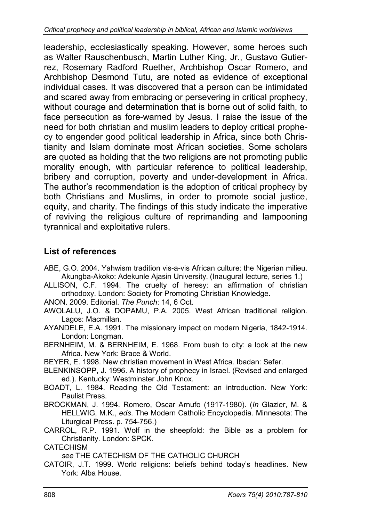leadership, ecclesiastically speaking. However, some heroes such as Walter Rauschenbusch, Martin Luther King, Jr., Gustavo Gutierrez, Rosemary Radford Ruether, Archbishop Oscar Romero, and Archbishop Desmond Tutu, are noted as evidence of exceptional individual cases. It was discovered that a person can be intimidated and scared away from embracing or persevering in critical prophecy, without courage and determination that is borne out of solid faith, to face persecution as fore-warned by Jesus. I raise the issue of the need for both christian and muslim leaders to deploy critical prophecy to engender good political leadership in Africa, since both Christianity and Islam dominate most African societies. Some scholars are quoted as holding that the two religions are not promoting public morality enough, with particular reference to political leadership, bribery and corruption, poverty and under-development in Africa. The author's recommendation is the adoption of critical prophecy by both Christians and Muslims, in order to promote social justice, equity, and charity. The findings of this study indicate the imperative of reviving the religious culture of reprimanding and lampooning tyrannical and exploitative rulers.

#### **List of references**

- ABE, G.O. 2004. Yahwism tradition vis-a-vis African culture: the Nigerian milieu. Akungba-Akoko: Adekunle Ajasin University. (Inaugural lecture, series 1.)
- ALLISON, C.F. 1994. The cruelty of heresy: an affirmation of christian orthodoxy. London: Society for Promoting Christian Knowledge.

ANON. 2009. Editorial. *The Punch*: 14, 6 Oct.

- AWOLALU, J.O. & DOPAMU, P.A. 2005. West African traditional religion. Lagos: Macmillan.
- AYANDELE, E.A. 1991. The missionary impact on modern Nigeria, 1842-1914. London: Longman.
- BERNHEIM, M. & BERNHEIM, E. 1968. From bush to city: a look at the new Africa. New York: Brace & World.
- BEYER, E. 1998. New christian movement in West Africa. Ibadan: Sefer.
- BLENKINSOPP, J. 1996. A history of prophecy in Israel. (Revised and enlarged ed.). Kentucky: Westminster John Knox.
- BOADT, L. 1984. Reading the Old Testament: an introduction. New York: Paulist Press.
- BROCKMAN, J. 1994. Romero, Oscar Arnufo (1917-1980). (*In* Glazier, M. & HELLWIG, M.K., *eds*. The Modern Catholic Encyclopedia. Minnesota: The Liturgical Press. p. 754-756.)
- CARROL, R.P. 1991. Wolf in the sheepfold: the Bible as a problem for Christianity. London: SPCK.

#### **CATECHISM**

*see* THE CATECHISM OF THE CATHOLIC CHURCH

CATOIR, J.T. 1999. World religions: beliefs behind today's headlines. New York: Alba House.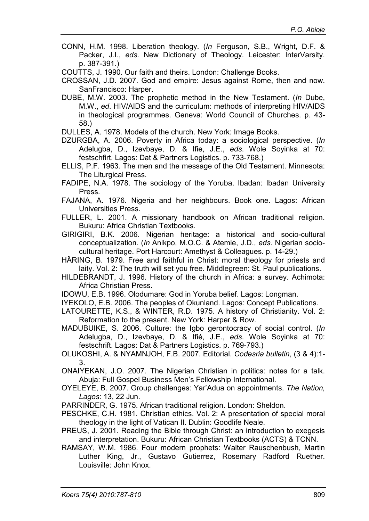CONN, H.M. 1998. Liberation theology. (*In* Ferguson, S.B., Wright, D.F. & Packer, J.I., *eds*. New Dictionary of Theology. Leicester: InterVarsity. p. 387-391.)

COUTTS, J. 1990. Our faith and theirs. London: Challenge Books.

- CROSSAN, J.D. 2007. God and empire: Jesus against Rome, then and now. SanFrancisco: Harper.
- DUBE, M.W. 2003. The prophetic method in the New Testament. (*In* Dube, M.W., *ed*. HIV/AIDS and the curriculum: methods of interpreting HIV/AIDS in theological programmes. Geneva: World Council of Churches. p. 43- 58.)

DULLES, A. 1978. Models of the church. New York: Image Books.

DZURGBA, A. 2006. Poverty in Africa today: a sociological perspective. (*In* Adelugba, D., Izevbaye, D. & Ifie, J.E., *eds*. Wole Soyinka at 70: festschfirt. Lagos: Dat & Partners Logistics. p. 733-768.)

ELLIS, P.F. 1963. The men and the message of the Old Testament. Minnesota: The Liturgical Press.

FADIPE, N.A. 1978. The sociology of the Yoruba. Ibadan: Ibadan University Press.

- FAJANA, A. 1976. Nigeria and her neighbours. Book one. Lagos: African Universities Press.
- FULLER, L. 2001. A missionary handbook on African traditional religion. Bukuru: Africa Christian Textbooks.
- GIRIGIRI, B.K. 2006. Nigerian heritage: a historical and socio-cultural conceptualization. (*In* Anikpo, M.O.C. & Atemie, J.D., *eds*. Nigerian sociocultural heritage. Port Harcourt: Amethyst & Colleagues. p. 14-29.)
- HÄRING, B. 1979. Free and faithful in Christ: moral theology for priests and laity. Vol. 2: The truth will set you free. Middlegreen: St. Paul publications.
- HILDEBRANDT, J. 1996. History of the church in Africa: a survey. Achimota: Africa Christian Press.
- IDOWU, E.B. 1996. Olodumare: God in Yoruba belief. Lagos: Longman.

IYEKOLO, E.B. 2006. The peoples of Okunland. Lagos: Concept Publications.

- LATOURETTE, K.S., & WINTER, R.D. 1975. A history of Christianity. Vol. 2: Reformation to the present. New York: Harper & Row.
- MADUBUIKE, S. 2006. Culture: the Igbo gerontocracy of social control. (*In* Adelugba, D., Izevbaye, D. & Ifié, J.E., *eds*. Wole Soyinka at 70: festschrift. Lagos: Dat & Partners Logistics. p. 769-793.)
- OLUKOSHI, A. & NYAMNJOH, F.B. 2007. Editorial. *Codesria bulletin*, (3 & 4):1- 3.

ONAIYEKAN, J.O. 2007. The Nigerian Christian in politics: notes for a talk. Abuja: Full Gospel Business Men's Fellowship International.

OYELEYE, B. 2007. Group challenges: Yar'Adua on appointments. *The Nation, Lagos*: 13, 22 Jun.

PARRINDER, G. 1975. African traditional religion. London: Sheldon.

- PESCHKE, C.H. 1981. Christian ethics. Vol. 2: A presentation of special moral theology in the light of Vatican II. Dublin: Goodlife Neale.
- PREUS, J. 2001. Reading the Bible through Christ: an introduction to exegesis and interpretation. Bukuru: African Christian Textbooks (ACTS) & TCNN.
- RAMSAY, W.M. 1986. Four modern prophets: Walter Rauschenbush, Martin Luther King, Jr., Gustavo Gutierrez, Rosemary Radford Ruether. Louisville: John Knox.